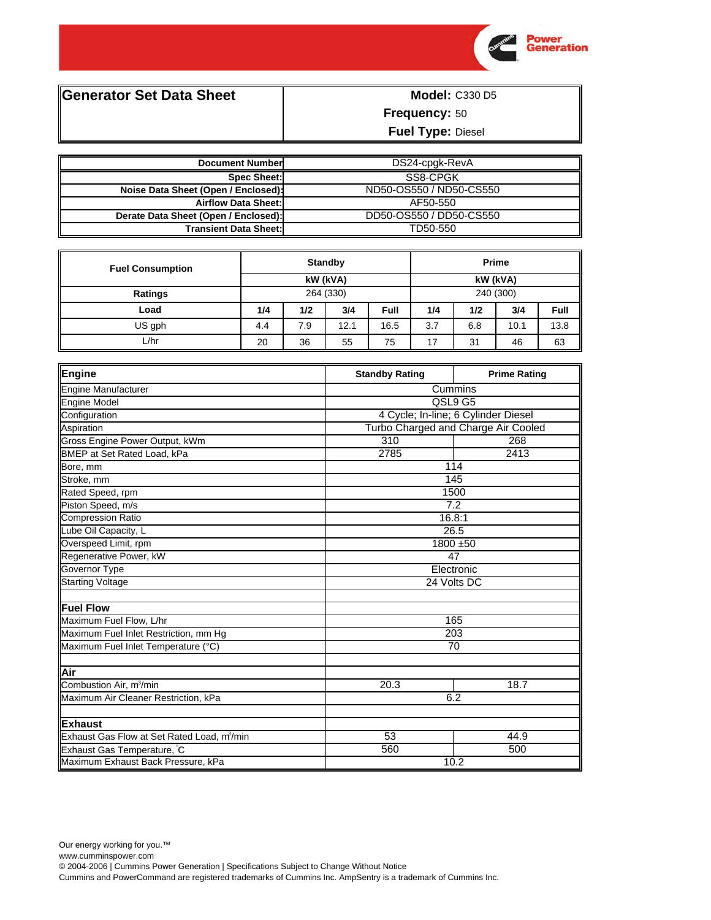

**Generator Set Data Sheet** 

**Model: C330 D5 Frequency: 50** 

Fuel Type: Diesel

| <b>Document Number</b>               | DS24-cpgk-RevA          |
|--------------------------------------|-------------------------|
| <b>Spec Sheet:</b>                   | SS8-CPGK                |
| Noise Data Sheet (Open / Enclosed):  | ND50-OS550 / ND50-CS550 |
| <b>Airflow Data Sheet:</b>           | AF50-550                |
| Derate Data Sheet (Open / Enclosed): | DD50-OS550 / DD50-CS550 |
| <b>Transient Data Sheet:</b>         | TD50-550                |

| <b>Fuel Consumption</b> | <b>Standby</b> |     |          | Prime     |     |     |      |      |
|-------------------------|----------------|-----|----------|-----------|-----|-----|------|------|
|                         | kW (kVA)       |     | kW (kVA) |           |     |     |      |      |
| Ratings                 | 264 (330)      |     |          | 240 (300) |     |     |      |      |
| Load                    | 1/4            | 1/2 | 3/4      | Full      | 1/4 | 1/2 | 3/4  | Full |
| US gph                  | 4.4            | 7.9 | 12.1     | 16.5      | 3.7 | 6.8 | 10.1 | 13.8 |
| ∟⁄hr                    | 20             | 36  | 55       | 75        | 17  | 31  | 46   | 63   |

| Engine                                                  | <b>Standby Rating</b> | <b>Prime Rating</b>                 |  |
|---------------------------------------------------------|-----------------------|-------------------------------------|--|
| Engine Manufacturer                                     | Cummins               |                                     |  |
| Engine Model                                            | QSL9 G5               |                                     |  |
| Configuration                                           |                       | 4 Cycle; In-line; 6 Cylinder Diesel |  |
| Aspiration                                              |                       | Turbo Charged and Charge Air Cooled |  |
| Gross Engine Power Output, kWm                          | 310                   | 268                                 |  |
| BMEP at Set Rated Load, kPa                             | 2785                  | 2413                                |  |
| Bore, mm                                                |                       | 114                                 |  |
| Stroke, mm                                              |                       | 145                                 |  |
| Rated Speed, rpm                                        |                       | 1500                                |  |
| Piston Speed, m/s                                       |                       | 7.2                                 |  |
| <b>Compression Ratio</b>                                |                       | 16.8:1                              |  |
| Lube Oil Capacity, L                                    | 26.5                  |                                     |  |
| Overspeed Limit, rpm                                    |                       | 1800 ±50                            |  |
| Regenerative Power, kW                                  | 47                    |                                     |  |
| Governor Type                                           | Electronic            |                                     |  |
| <b>Starting Voltage</b>                                 |                       | 24 Volts DC                         |  |
| Fuel Flow                                               |                       |                                     |  |
| Maximum Fuel Flow, L/hr                                 |                       | 165                                 |  |
| Maximum Fuel Inlet Restriction, mm Hg                   |                       | 203                                 |  |
| Maximum Fuel Inlet Temperature (°C)                     | $\overline{70}$       |                                     |  |
| <b>Air</b>                                              |                       |                                     |  |
| Combustion Air, m <sup>3</sup> /min                     | 20.3                  | 18.7                                |  |
| Maximum Air Cleaner Restriction, kPa                    | 6.2                   |                                     |  |
| <b>IExhaust</b>                                         |                       |                                     |  |
| Exhaust Gas Flow at Set Rated Load, m <sup>3</sup> /min | $\overline{53}$       | 44.9                                |  |
| Exhaust Gas Temperature, C                              | 560                   | 500                                 |  |
| Maximum Exhaust Back Pressure, kPa                      |                       | 10.2                                |  |

© 2004-2006 | Cummins Power Generation | Specifications Subject to Change Without Notice

Cummins and PowerCommand are registered trademarks of Cummins Inc. AmpSentry is a trademark of Cummins Inc.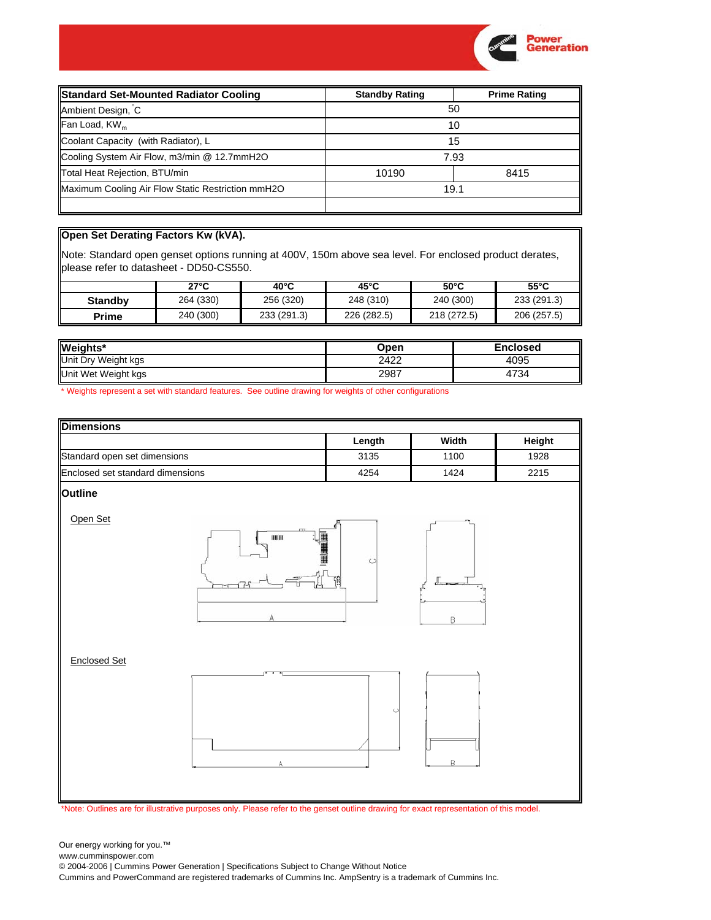

| <b>Standard Set-Mounted Radiator Cooling</b>      | <b>Standby Rating</b> | <b>Prime Rating</b> |  |
|---------------------------------------------------|-----------------------|---------------------|--|
| Ambient Design, C                                 | 50                    |                     |  |
| Fan Load, KW <sub>m</sub>                         |                       | 10                  |  |
| Coolant Capacity (with Radiator), L               | 15                    |                     |  |
| Cooling System Air Flow, m3/min @ 12.7mmH2O       |                       | 7.93                |  |
| Total Heat Rejection, BTU/min                     | 10190                 | 8415                |  |
| Maximum Cooling Air Flow Static Restriction mmH2O | 19.1                  |                     |  |
|                                                   |                       |                     |  |

## **Open Set Derating Factors Kw (kVA).**

Note: Standard open genset options running at 400V, 150m above sea level. For enclosed product derates, please refer to datasheet - DD50-CS550.

|                | 27°C      | $40^{\circ}$ C | $45^{\circ}$ C | $50^{\circ}$ C | $55^{\circ}$ C |
|----------------|-----------|----------------|----------------|----------------|----------------|
| <b>Standby</b> | 264 (330) | 256 (320)      | 248 (310)      | 240 (300)      | 233 (291.3)    |
| Prime          | 240 (300) | 233 (291.3)    | 226 (282.5)    | 218 (272.5)    | 206 (257.5)    |

| Weights*            | Open | Enclosed |
|---------------------|------|----------|
| Unit Dry Weight kgs | 2422 | 4095     |
| Unit Wet Weight kgs | 2987 | 4734     |

\* Weights represent a set with standard features. See outline drawing for weights of other configurations



www.cumminspower.com

© 2004-2006 | Cummins Power Generation | Specifications Subject to Change Without Notice

Cummins and PowerCommand are registered trademarks of Cummins Inc. AmpSentry is a trademark of Cummins Inc.